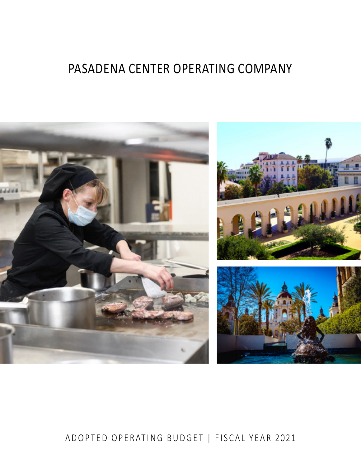# PASADENA CENTER OPERATING COMPANY



# ADOPTED OPERATING BUDGET | FISCAL YEAR 2021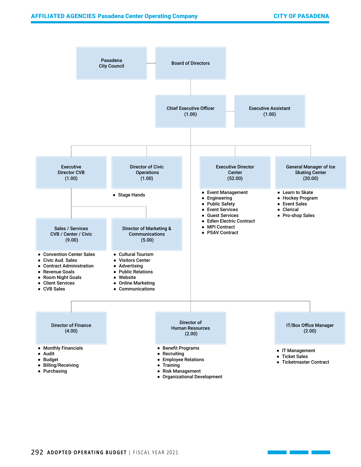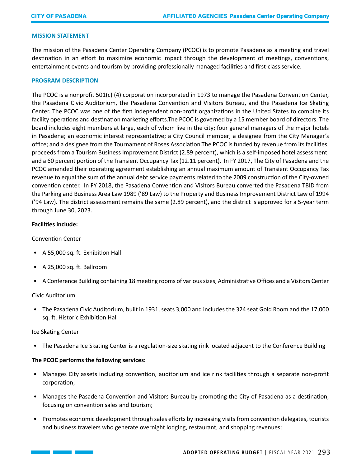#### **MISSION STATEMENT**

The mission of the Pasadena Center Operating Company (PCOC) is to promote Pasadena as a meeting and travel destination in an effort to maximize economic impact through the development of meetings, conventions, entertainment events and tourism by providing professionally managed facilities and first-class service.

#### **PROGRAM DESCRIPTION**

The PCOC is a nonprofit 501(c) (4) corporation incorporated in 1973 to manage the Pasadena Convention Center, the Pasadena Civic Auditorium, the Pasadena Convention and Visitors Bureau, and the Pasadena Ice Skating Center. The PCOC was one of the first independent non-profit organizations in the United States to combine its facility operations and destination marketing efforts.The PCOC is governed by a 15 member board of directors. The board includes eight members at large, each of whom live in the city; four general managers of the major hotels in Pasadena; an economic interest representative; a City Council member; a designee from the City Manager's office; and a designee from the Tournament of Roses Association.The PCOC is funded by revenue from its facilities, proceeds from a Tourism Business Improvement District (2.89 percent), which is a self-imposed hotel assessment, and a 60 percent portion of the Transient Occupancy Tax (12.11 percent). In FY 2017, The City of Pasadena and the PCOC amended their operating agreement establishing an annual maximum amount of Transient Occupancy Tax revenue to equal the sum of the annual debt service payments related to the 2009 construction of the City-owned convention center. In FY 2018, the Pasadena Convention and Visitors Bureau converted the Pasadena TBID from the Parking and Business Area Law 1989 ('89 Law) to the Property and Business Improvement District Law of 1994 ('94 Law). The district assessment remains the same (2.89 percent), and the district is approved for a 5-year term through June 30, 2023.

#### **Facilities include:**

#### Convention Center

- A 55,000 sq. ft. Exhibition Hall
- A 25,000 sq. ft. Ballroom
- A Conference Building containing 18 meeting rooms of various sizes, Administrative Offices and a Visitors Center

#### Civic Auditorium

• The Pasadena Civic Auditorium, built in 1931, seats 3,000 and includes the 324 seat Gold Room and the 17,000 sq. ft. Historic Exhibition Hall

#### Ice Skating Center

• The Pasadena Ice Skating Center is a regulation-size skating rink located adjacent to the Conference Building

#### **The PCOC performs the following services:**

- Manages City assets including convention, auditorium and ice rink facilities through a separate non-profit corporation;
- Manages the Pasadena Convention and Visitors Bureau by promoting the City of Pasadena as a destination, focusing on convention sales and tourism;
- Promotes economic development through sales efforts by increasing visits from convention delegates, tourists and business travelers who generate overnight lodging, restaurant, and shopping revenues;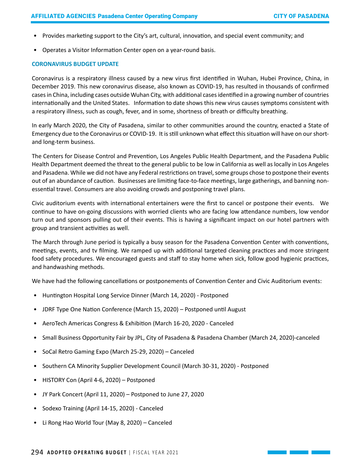- Provides marketing support to the City's art, cultural, innovation, and special event community; and
- Operates a Visitor Information Center open on a year-round basis.

#### **CORONAVIRUS BUDGET UPDATE**

Coronavirus is a respiratory illness caused by a new virus first identified in Wuhan, Hubei Province, China, in December 2019. This new coronavirus disease, also known as COVID-19, has resulted in thousands of confirmed cases in China, including cases outside Wuhan City, with additional cases identified in a growing number of countries internationally and the United States. Information to date shows this new virus causes symptoms consistent with a respiratory illness, such as cough, fever, and in some, shortness of breath or difficulty breathing.

In early March 2020, the City of Pasadena, similar to other communities around the country, enacted a State of Emergency due to the Coronavirus or COVID-19. It is still unknown what effect this situation will have on our shortand long-term business.

The Centers for Disease Control and Prevention, Los Angeles Public Health Department, and the Pasadena Public Health Department deemed the threat to the general public to be low in California as well as locally in Los Angeles and Pasadena. While we did not have any Federal restrictions on travel, some groups chose to postpone their events out of an abundance of caution. Businesses are limiting face-to-face meetings, large gatherings, and banning nonessential travel. Consumers are also avoiding crowds and postponing travel plans.

Civic auditorium events with international entertainers were the first to cancel or postpone their events. We continue to have on-going discussions with worried clients who are facing low attendance numbers, low vendor turn out and sponsors pulling out of their events. This is having a significant impact on our hotel partners with group and transient activities as well.

The March through June period is typically a busy season for the Pasadena Convention Center with conventions, meetings, events, and tv filming. We ramped up with additional targeted cleaning practices and more stringent food safety procedures. We encouraged guests and staff to stay home when sick, follow good hygienic practices, and handwashing methods.

We have had the following cancellations or postponements of Convention Center and Civic Auditorium events:

- Huntington Hospital Long Service Dinner (March 14, 2020) Postponed
- JDRF Type One Nation Conference (March 15, 2020) Postponed until August
- AeroTech Americas Congress & Exhibition (March 16-20, 2020 Canceled
- Small Business Opportunity Fair by JPL, City of Pasadena & Pasadena Chamber (March 24, 2020)-canceled
- SoCal Retro Gaming Expo (March 25-29, 2020) Canceled
- Southern CA Minority Supplier Development Council (March 30-31, 2020) Postponed
- HISTORY Con (April 4-6, 2020) Postponed
- JY Park Concert (April 11, 2020) Postponed to June 27, 2020
- Sodexo Training (April 14-15, 2020) Canceled
- Li Rong Hao World Tour (May 8, 2020) Canceled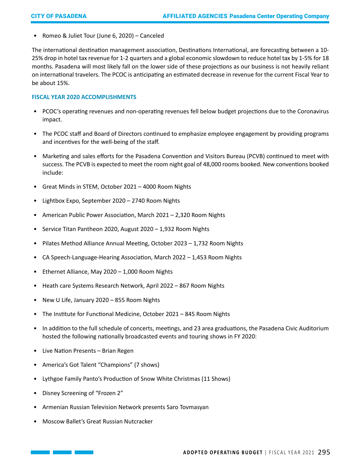• Romeo & Juliet Tour (June 6, 2020) – Canceled

The international destination management association, Destinations International, are forecasting between a 10- 25% drop in hotel tax revenue for 1-2 quarters and a global economic slowdown to reduce hotel tax by 1-5% for 18 months. Pasadena will most likely fall on the lower side of these projections as our business is not heavily reliant on international travelers. The PCOC is anticipating an estimated decrease in revenue for the current Fiscal Year to be about 15%.

#### **FISCAL YEAR 2020 ACCOMPLISHMENTS**

- PCOC's operating revenues and non-operating revenues fell below budget projections due to the Coronavirus impact.
- The PCOC staff and Board of Directors continued to emphasize employee engagement by providing programs and incentives for the well-being of the staff.
- Marketing and sales efforts for the Pasadena Convention and Visitors Bureau (PCVB) continued to meet with success. The PCVB is expected to meet the room night goal of 48,000 rooms booked. New conventions booked include:
- Great Minds in STEM, October 2021 4000 Room Nights
- Lightbox Expo, September 2020 2740 Room Nights
- American Public Power Association, March 2021 2,320 Room Nights
- Service Titan Pantheon 2020, August 2020 1,932 Room Nights
- Pilates Method Alliance Annual Meeting, October 2023 1,732 Room Nights
- CA Speech-Language-Hearing Association, March 2022 1,453 Room Nights
- Ethernet Alliance, May 2020 1,000 Room Nights
- Heath care Systems Research Network, April 2022 867 Room Nights
- New U Life, January 2020 855 Room Nights
- The Institute for Functional Medicine, October 2021 845 Room Nights
- In addition to the full schedule of concerts, meetings, and 23 area graduations, the Pasadena Civic Auditorium hosted the following nationally broadcasted events and touring shows in FY 2020:
- Live Nation Presents Brian Regen
- America's Got Talent "Champions" (7 shows)
- Lythgoe Family Panto's Production of Snow White Christmas (11 Shows)
- Disney Screening of "Frozen 2"
- Armenian Russian Television Network presents Saro Tovmasyan
- Moscow Ballet's Great Russian Nutcracker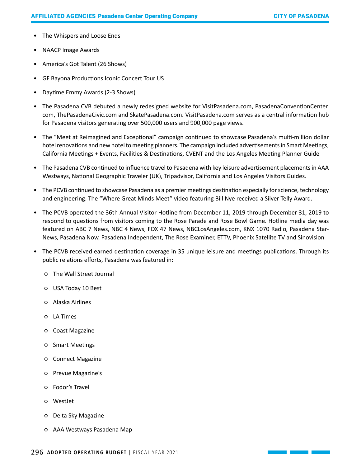- The Whispers and Loose Ends
- NAACP Image Awards
- America's Got Talent (26 Shows)
- GF Bayona Productions Iconic Concert Tour US
- Daytime Emmy Awards (2-3 Shows)
- The Pasadena CVB debuted a newly redesigned website for VisitPasadena.com, PasadenaConventionCenter. com, ThePasadenaCivic.com and SkatePasadena.com. VisitPasadena.com serves as a central information hub for Pasadena visitors generating over 500,000 users and 900,000 page views.
- The "Meet at Reimagined and Exceptional" campaign continued to showcase Pasadena's multi-million dollar hotel renovations and new hotel to meeting planners. The campaign included advertisements in Smart Meetings, California Meetings + Events, Facilities & Destinations, CVENT and the Los Angeles Meeting Planner Guide
- The Pasadena CVB continued to influence travel to Pasadena with key leisure advertisement placements in AAA Westways, National Geographic Traveler (UK), Tripadvisor, California and Los Angeles Visitors Guides.
- The PCVB continued to showcase Pasadena as a premier meetings destination especially for science, technology and engineering. The "Where Great Minds Meet" video featuring Bill Nye received a Silver Telly Award.
- The PCVB operated the 36th Annual Visitor Hotline from December 11, 2019 through December 31, 2019 to respond to questions from visitors coming to the Rose Parade and Rose Bowl Game. Hotline media day was featured on ABC 7 News, NBC 4 News, FOX 47 News, NBCLosAngeles.com, KNX 1070 Radio, Pasadena Star-News, Pasadena Now, Pasadena Independent, The Rose Examiner, ETTV, Phoenix Satellite TV and Sinovision
- The PCVB received earned destination coverage in 35 unique leisure and meetings publications. Through its public relations efforts, Pasadena was featured in:
	- The Wall Street Journal
	- USA Today 10 Best
	- Alaska Airlines
	- LA Times
	- Coast Magazine
	- Smart Meetings
	- Connect Magazine
	- Prevue Magazine's
	- Fodor's Travel
	- WestJet
	- Delta Sky Magazine
	- AAA Westways Pasadena Map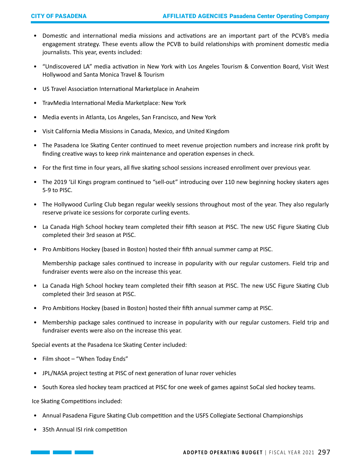- Domestic and international media missions and activations are an important part of the PCVB's media engagement strategy. These events allow the PCVB to build relationships with prominent domestic media journalists. This year, events included:
- "Undiscovered LA" media activation in New York with Los Angeles Tourism & Convention Board, Visit West Hollywood and Santa Monica Travel & Tourism
- US Travel Association International Marketplace in Anaheim
- TravMedia International Media Marketplace: New York
- Media events in Atlanta, Los Angeles, San Francisco, and New York
- Visit California Media Missions in Canada, Mexico, and United Kingdom
- The Pasadena Ice Skating Center continued to meet revenue projection numbers and increase rink profit by finding creative ways to keep rink maintenance and operation expenses in check.
- For the first time in four years, all five skating school sessions increased enrollment over previous year.
- The 2019 'Lil Kings program continued to "sell-out" introducing over 110 new beginning hockey skaters ages 5-9 to PISC.
- The Hollywood Curling Club began regular weekly sessions throughout most of the year. They also regularly reserve private ice sessions for corporate curling events.
- La Canada High School hockey team completed their fifth season at PISC. The new USC Figure Skating Club completed their 3rd season at PISC.
- Pro Ambitions Hockey (based in Boston) hosted their fifth annual summer camp at PISC.

Membership package sales continued to increase in popularity with our regular customers. Field trip and fundraiser events were also on the increase this year.

- La Canada High School hockey team completed their fifth season at PISC. The new USC Figure Skating Club completed their 3rd season at PISC.
- Pro Ambitions Hockey (based in Boston) hosted their fifth annual summer camp at PISC.
- Membership package sales continued to increase in popularity with our regular customers. Field trip and fundraiser events were also on the increase this year.

Special events at the Pasadena Ice Skating Center included:

- Film shoot "When Today Ends"
- JPL/NASA project testing at PISC of next generation of lunar rover vehicles
- South Korea sled hockey team practiced at PISC for one week of games against SoCal sled hockey teams.

Ice Skating Competitions included:

- Annual Pasadena Figure Skating Club competition and the USFS Collegiate Sectional Championships
- 35th Annual ISI rink competition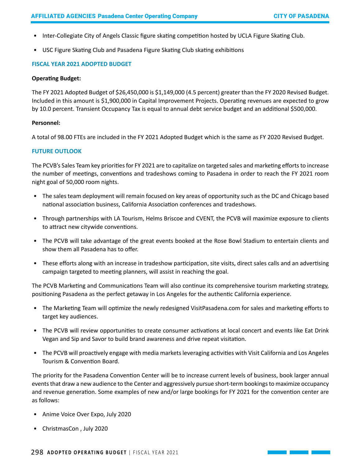- Inter-Collegiate City of Angels Classic figure skating competition hosted by UCLA Figure Skating Club.
- USC Figure Skating Club and Pasadena Figure Skating Club skating exhibitions

#### **FISCAL YEAR 2021 ADOPTED BUDGET**

#### **Operating Budget:**

The FY 2021 Adopted Budget of \$26,450,000 is \$1,149,000 (4.5 percent) greater than the FY 2020 Revised Budget. Included in this amount is \$1,900,000 in Capital Improvement Projects. Operating revenues are expected to grow by 10.0 percent. Transient Occupancy Tax is equal to annual debt service budget and an additional \$500,000.

#### **Personnel:**

A total of 98.00 FTEs are included in the FY 2021 Adopted Budget which is the same as FY 2020 Revised Budget.

#### **FUTURE OUTLOOK**

The PCVB's Sales Team key priorities for FY 2021 are to capitalize on targeted sales and marketing efforts to increase the number of meetings, conventions and tradeshows coming to Pasadena in order to reach the FY 2021 room night goal of 50,000 room nights.

- The sales team deployment will remain focused on key areas of opportunity such as the DC and Chicago based national association business, California Association conferences and tradeshows.
- Through partnerships with LA Tourism, Helms Briscoe and CVENT, the PCVB will maximize exposure to clients to attract new citywide conventions.
- The PCVB will take advantage of the great events booked at the Rose Bowl Stadium to entertain clients and show them all Pasadena has to offer.
- These efforts along with an increase in tradeshow participation, site visits, direct sales calls and an advertising campaign targeted to meeting planners, will assist in reaching the goal.

The PCVB Marketing and Communications Team will also continue its comprehensive tourism marketing strategy, positioning Pasadena as the perfect getaway in Los Angeles for the authentic California experience.

- The Marketing Team will optimize the newly redesigned VisitPasadena.com for sales and marketing efforts to target key audiences.
- The PCVB will review opportunities to create consumer activations at local concert and events like Eat Drink Vegan and Sip and Savor to build brand awareness and drive repeat visitation.
- The PCVB will proactively engage with media markets leveraging activities with Visit California and Los Angeles Tourism & Convention Board.

The priority for the Pasadena Convention Center will be to increase current levels of business, book larger annual events that draw a new audience to the Center and aggressively pursue short-term bookings to maximize occupancy and revenue generation. Some examples of new and/or large bookings for FY 2021 for the convention center are as follows:

- Anime Voice Over Expo, July 2020
- ChristmasCon , July 2020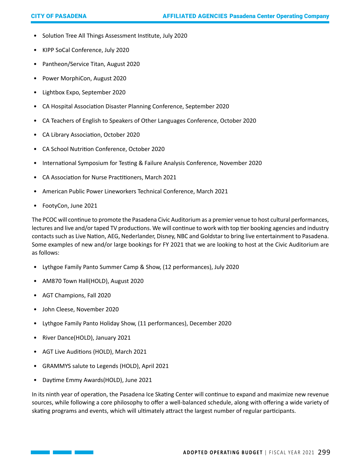- Solution Tree All Things Assessment Institute, July 2020
- KIPP SoCal Conference, July 2020
- Pantheon/Service Titan, August 2020
- Power MorphiCon, August 2020
- Lightbox Expo, September 2020
- CA Hospital Association Disaster Planning Conference, September 2020
- CA Teachers of English to Speakers of Other Languages Conference, October 2020
- CA Library Association, October 2020
- CA School Nutrition Conference, October 2020
- International Symposium for Testing & Failure Analysis Conference, November 2020
- CA Association for Nurse Practitioners, March 2021
- American Public Power Lineworkers Technical Conference, March 2021
- FootyCon, June 2021

The PCOC will continue to promote the Pasadena Civic Auditorium as a premier venue to host cultural performances, lectures and live and/or taped TV productions. We will continue to work with top tier booking agencies and industry contacts such as Live Nation, AEG, Nederlander, Disney, NBC and Goldstar to bring live entertainment to Pasadena. Some examples of new and/or large bookings for FY 2021 that we are looking to host at the Civic Auditorium are as follows:

- Lythgoe Family Panto Summer Camp & Show, (12 performances), July 2020
- AM870 Town Hall(HOLD), August 2020
- AGT Champions, Fall 2020
- John Cleese, November 2020
- Lythgoe Family Panto Holiday Show, (11 performances), December 2020
- River Dance(HOLD), January 2021
- AGT Live Auditions (HOLD), March 2021
- GRAMMYS salute to Legends (HOLD), April 2021
- Daytime Emmy Awards(HOLD), June 2021

In its ninth year of operation, the Pasadena Ice Skating Center will continue to expand and maximize new revenue sources, while following a core philosophy to offer a well-balanced schedule, along with offering a wide variety of skating programs and events, which will ultimately attract the largest number of regular participants.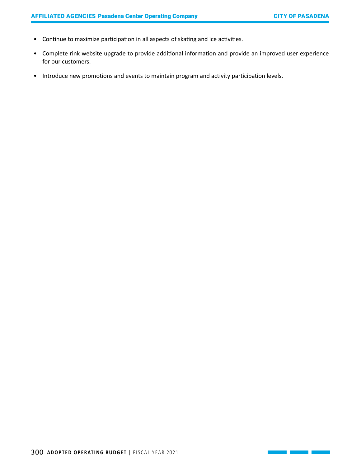<u> 1999 - Jan Sterlingen (</u>

- Continue to maximize participation in all aspects of skating and ice activities.
- Complete rink website upgrade to provide additional information and provide an improved user experience for our customers.
- Introduce new promotions and events to maintain program and activity participation levels.